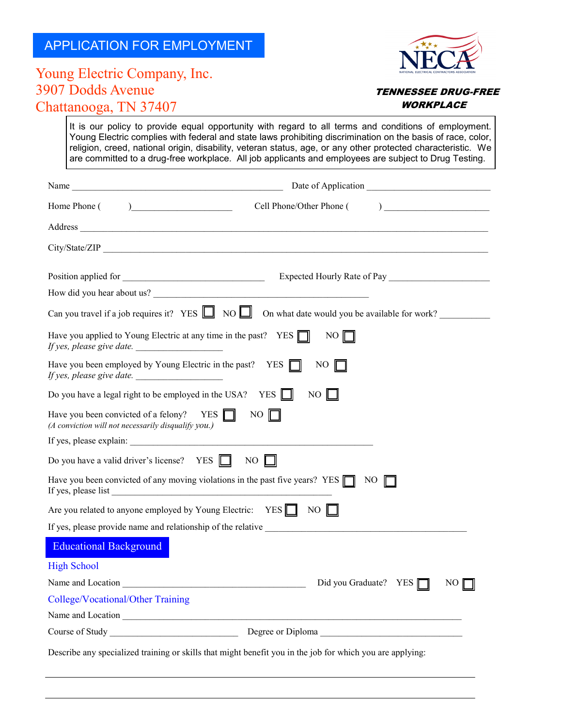## APPLICATION FOR EMPLOYMENT



## Young Electric Company, Inc. 3907 Dodds Avenue Chattanooga, TN 37407

## **TENNESSEE DRUG-FREE WORKPLACE**

It is our policy to provide equal opportunity with regard to all terms and conditions of employment. Young Electric complies with federal and state laws prohibiting discrimination on the basis of race, color, religion, creed, national origin, disability, veteran status, age, or any other protected characteristic. We are committed to a drug-free workplace. All job applicants and employees are subject to Drug Testing.

| Home Phone $($ $)$                                                                                     | $\begin{array}{c} \hline \end{array}$<br>Cell Phone/Other Phone (                                                                                                                                                              |
|--------------------------------------------------------------------------------------------------------|--------------------------------------------------------------------------------------------------------------------------------------------------------------------------------------------------------------------------------|
|                                                                                                        |                                                                                                                                                                                                                                |
| City/State/ZIP                                                                                         |                                                                                                                                                                                                                                |
|                                                                                                        |                                                                                                                                                                                                                                |
|                                                                                                        | How did you hear about us?                                                                                                                                                                                                     |
|                                                                                                        | Can you travel if a job requires it? YES $\Box$ NO $\Box$ On what date would you be available for work?                                                                                                                        |
| Have you applied to Young Electric at any time in the past? YES $\Box$<br>If yes, please give date.    | $NO$ $\parallel$                                                                                                                                                                                                               |
| Have you been employed by Young Electric in the past? YES $\Box$<br>If yes, please give date.          | NO.                                                                                                                                                                                                                            |
| Do you have a legal right to be employed in the USA? YES $\Box$                                        | N <sub>O</sub>                                                                                                                                                                                                                 |
| Have you been convicted of a felony? YES $\Box$<br>(A conviction will not necessarily disqualify you.) | $NO$ $\Gamma$                                                                                                                                                                                                                  |
| If yes, please explain:                                                                                |                                                                                                                                                                                                                                |
| Do you have a valid driver's license? YES $\Box$                                                       | NO                                                                                                                                                                                                                             |
|                                                                                                        | Have you been convicted of any moving violations in the past five years? YES $\Box$ NO                                                                                                                                         |
| Are you related to anyone employed by Young Electric: YES NO                                           |                                                                                                                                                                                                                                |
|                                                                                                        | If yes, please provide name and relationship of the relative                                                                                                                                                                   |
| <b>Educational Background</b>                                                                          |                                                                                                                                                                                                                                |
| <b>High School</b>                                                                                     |                                                                                                                                                                                                                                |
|                                                                                                        | Did you Graduate? YES $\Box$<br>NO                                                                                                                                                                                             |
| College/Vocational/Other Training                                                                      |                                                                                                                                                                                                                                |
|                                                                                                        | Name and Location entry the contract of the contract of the contract of the contract of the contract of the contract of the contract of the contract of the contract of the contract of the contract of the contract of the co |
|                                                                                                        |                                                                                                                                                                                                                                |
|                                                                                                        | Describe any specialized training or skills that might benefit you in the job for which you are applying:                                                                                                                      |